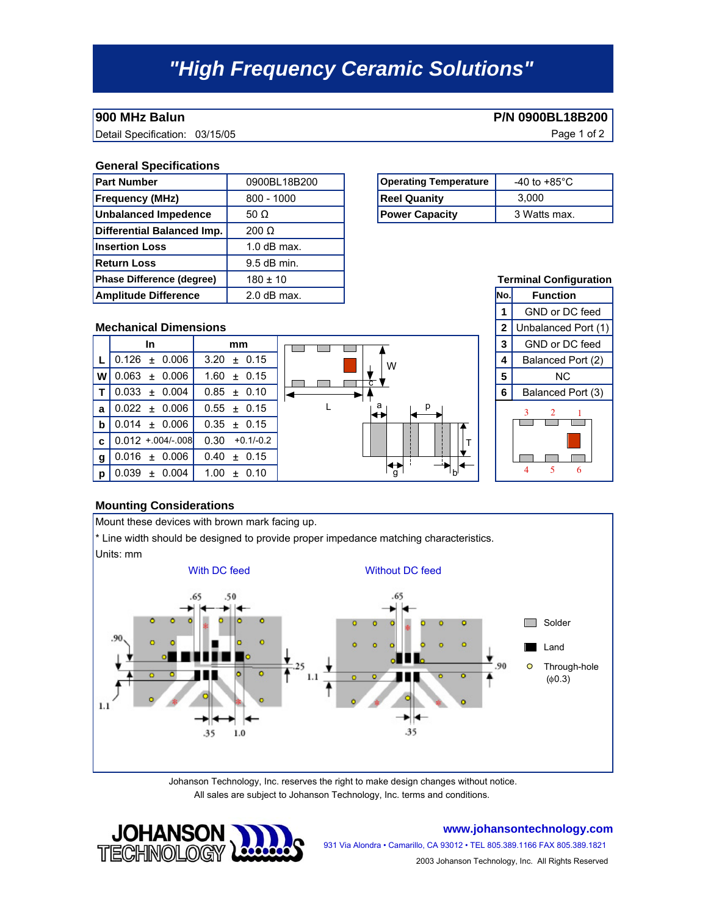# *"High Frequency Ceramic Solutions"*

**900 MHz Balun P/N 0900BL18B200** 

Detail Specification: 03/15/05 Page 1 of 2

### **General Specifications**

| <b>Part Number</b>          | 0900BL18B200  | <b>Operating Temperature</b> | -40 to +85 $^{\circ}$ C  |
|-----------------------------|---------------|------------------------------|--------------------------|
| <b>Frequency (MHz)</b>      | $800 - 1000$  | <b>Reel Quanity</b>          | 3.000                    |
| Unbalanced Impedence        | 50 $\Omega$   | <b>Power Capacity</b>        | 3 Watts max.             |
| Differential Balanced Imp.  | $200 \Omega$  |                              |                          |
| <b>Insertion Loss</b>       | $1.0$ dB max. |                              |                          |
| <b>Return Loss</b>          | $9.5$ dB min. |                              |                          |
| Phase Difference (degree)   | $180 \pm 10$  |                              | <b>Terminal Config</b>   |
| <b>Amplitude Difference</b> | $2.0$ dB max. |                              | lNo.l<br><b>Function</b> |

| <b>Operating Temperature</b> | -40 to +85 $^{\circ}$ C |
|------------------------------|-------------------------|
| <b>Reel Quanity</b>          | 3.000                   |
| <b>Power Capacity</b>        | 3 Watts max.            |

### **Mechanical Dimensions 1 2** Unbalanced Port (1) **In**  $\begin{array}{|c|c|c|c|c|}\n\hline\n\text{mm} & \text{mm} & \text{mm} \\
\hline\n\end{array}$  **3** GND or DC feed **L**  $\begin{bmatrix} 0.126 & \pm & 0.006 \end{bmatrix}$  3.20  $\pm$  0.15  $\begin{bmatrix} 1 & \pm & \pm \\ 0 & \pm \end{bmatrix}$   $\begin{bmatrix} 1 & \pm & \pm \\ 0 & \pm \end{bmatrix}$   $\begin{bmatrix} 4 & \pm & \pm \\ 4 & \pm & \pm \end{bmatrix}$  Balanced Port (2) **W** ± ± **5** NC 0.063 0.006 **T**  $\begin{bmatrix} 0.033 \pm 0.004 \end{bmatrix}$   $\begin{bmatrix} 0.85 \pm 0.10 \end{bmatrix}$   $\begin{bmatrix} 4 \pm 0.033 \pm 0.004 \end{bmatrix}$   $\begin{bmatrix} 6 \pm 0.033 \pm 0.004 \end{bmatrix}$ **a** | 0.022 ± 0.006 | 0.55 ± **b**  $\begin{bmatrix} 0.014 & \pm & 0.006 \end{bmatrix}$  0.35  $\pm$  $0.126 \pm 0.006$  $0.033 \pm 0.004$ +0.1/-0.2  $1.60 \pm 0.15$  $0.85 \pm 0.10$  $0.55 \pm 0.15$  $0.35 \pm 0.15$ 0.012 + 004/- 008 0.30 L W c a<sub>l</sub> p



## **Mounting Considerations**

**g** | 0.016 ± 0.006 | 0.40 ±  $p | 0.039 \pm 0.004 | 1.00 \pm 0.10$ 

**c**

Mount these devices with brown mark facing up.

 $± 0.15$ 

\* Line width should be designed to provide proper impedance matching characteristics.



g b

T

Johanson Technology, Inc. reserves the right to make design changes without notice. All sales are subject to Johanson Technology, Inc. terms and conditions.



**www.johansontechnology.com**

931 Via Alondra • Camarillo, CA 93012 • TEL 805.389.1166 FAX 805.389.1821 2003 Johanson Technology, Inc. All Rights Reserved